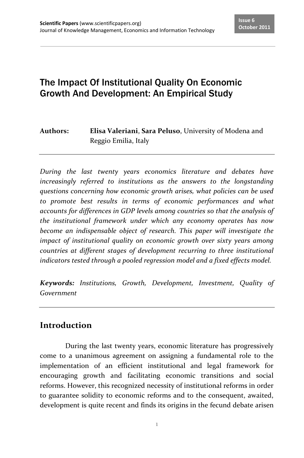# The Impact Of Institutional Quality On Economic Growth And Development: An Empirical Study

#### **Authors: Elisa Valeriani**, **Sara Peluso**, University of Modena and Reggio Emilia, Italy

*During the last twenty years economics literature and debates have increasingly referred to institutions as the answers to the longstanding questions concerning how economic growth arises, what policies can be used to promote best results in terms of economic performances and what accounts for differences in GDP levels among countries so that the analysis of the institutional framework under which any economy operates has now become an indispensable object of research. This paper will investigate the impact of institutional quality on economic growth over sixty years among countries at different stages of development recurring to three institutional indicators tested through a pooled regression model and a fixed effects model.*

*Keywords: Institutions, Growth, Development, Investment, Quality of Government*

#### **Introduction**

During the last twenty years, economic literature has progressively come to a unanimous agreement on assigning a fundamental role to the implementation of an efficient institutional and legal framework for encouraging growth and facilitating economic transitions and social reforms. However, this recognized necessity of institutional reforms in order to guarantee solidity to economic reforms and to the consequent, awaited, development is quite recent and finds its origins in the fecund debate arisen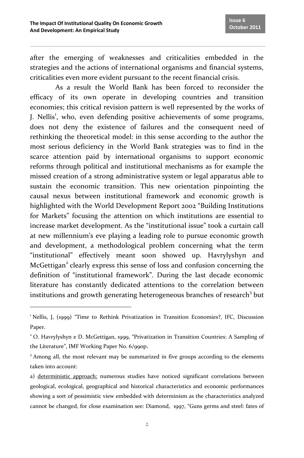after the emerging of weaknesses and criticalities embedded in the strategies and the actions of international organisms and financial systems, criticalities even more evident pursuant to the recent financial crisis.

As a result the World Bank has been forced to reconsider the efficacy of its own operate in developing countries and transition economies; this critical revision pattern is well represented by the works of J. Nellis<sup>1</sup>, who, even defending positive achievements of some programs, does not deny the existence of failures and the consequent need of rethinking the theoretical model: in this sense according to the author the most serious deficiency in the World Bank strategies was to find in the scarce attention paid by international organisms to support economic reforms through political and institutional mechanisms as for example the missed creation of a strong administrative system or legal apparatus able to sustain the economic transition. This new orientation pinpointing the causal nexus between institutional framework and economic growth is highlighted with the World Development Report 2002 "Building Institutions for Markets" focusing the attention on which institutions are essential to increase market development. As the "institutional issue" took a curtain call at new millennium's eve playing a leading role to pursue economic growth and development, a methodological problem concerning what the term "institutional" effectively meant soon showed up. Havrylyshyn and McGettigan<sup>2</sup> clearly express this sense of loss and confusion concerning the definition of "institutional framework". During the last decade economic literature has constantly dedicated attentions to the correlation between institutions and growth generating heterogeneous branches of research<sup>3</sup> but

 $\overline{\phantom{a}}$ 

<sup>&</sup>lt;sup>1</sup> Nellis, J. (1999) "Time to Rethink Privatization in Transition Economies?, IFC, Discussion Paper.

<sup>2</sup> O. Havrylyshyn e D. McGettigan, 1999, "Privatization in Transition Countries: A Sampling of the Literature", IMF Working Paper No. 6/99op.

<sup>&</sup>lt;sup>3</sup> Among all, the most relevant may be summarized in five groups according to the elements taken into account:

a) deterministic approach: numerous studies have noticed significant correlations between geological, ecological, geographical and historical characteristics and economic performances showing a sort of pessimistic view embedded with determinism as the characteristics analyzed cannot be changed, for close examination see: Diamond, 1997, "Guns germs and steel: fates of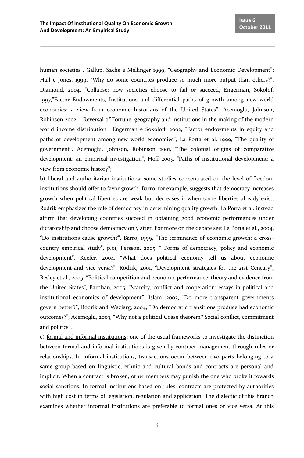<u>.</u>

human societies", Gallup, Sachs e Mellinger 1999, "Geography and Economic Development"; Hall e Jones, 1999, "Why do some countries produce so much more output than others?", Diamond, 2004, "Collapse: how societies choose to fail or succeed, Engerman, Sokolof, 1997,"Factor Endowments, Institutions and differential paths of growth among new world economies: a view from economic historians of the United States", Acemoglu, Johnson, Robinson 2002, " Reversal of Fortune: geography and institutions in the making of the modern world income distribution", Engerman e Sokoloff, 2002, "Factor endowments in equity and paths of development among new world economies", La Porta et al. 1999, "The quality of government", Acemoglu, Johnson, Robinson 2001, "The colonial origins of comparative development: an empirical investigation", Hoff 2003, "Paths of institutional development: a view from economic history";

b) liberal and authoritarian institutions: some studies concentrated on the level of freedom institutions should offer to favor growth. Barro, for example, suggests that democracy increases growth when political liberties are weak but decreases it when some liberties already exist. Rodrik emphasizes the role of democracy in determining quality growth. La Porta et al. instead affirm that developing countries succeed in obtaining good economic performances under dictatorship and choose democracy only after. For more on the debate see: La Porta et al., 2004, "Do institutions cause growth?", Barro, 1999, "The terminance of economic growth: a crosscountry empirical study", p.61, Persson, 2005, " Forms of democracy, policy and economic development", Keefer, 2004, "What does political economy tell us about economic development-and vice versa?", Rodrik, 2001, "Development strategies for the 21st Century", Besley et al., 2005, "Political competition and economic performance: theory and evidence from the United States", Bardhan, 2005, "Scarcity, conflict and cooperation: essays in political and institutional economics of development", Islam, 2003, "Do more transparent governments govern better?", Rodrik and Waziarg, 2004, "Do democratic transitions produce bad economic outcomes?", Acemoglu, 2003, "Why not a political Coase theorem? Social conflict, commitment and politics".

c) formal and informal institutions: one of the usual frameworks to investigate the distinction between formal and informal institutions is given by contract management through rules or relationships. In informal institutions, transactions occur between two parts belonging to a same group based on linguistic, ethnic and cultural bonds and contracts are personal and implicit. When a contract is broken, other members may punish the one who broke it towards social sanctions. In formal institutions based on rules, contracts are protected by authorities with high cost in terms of legislation, regulation and application. The dialectic of this branch examines whether informal institutions are preferable to formal ones or vice versa. At this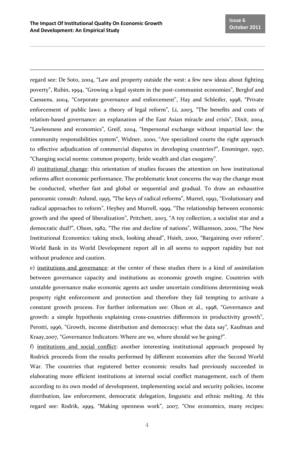l

regard see: De Soto, 2004, "Law and property outside the west: a few new ideas about fighting poverty", Rubin, 1994, "Growing a legal system in the post-communist economies", Berglof and Caessens, 2004, "Corporate governance and enforcement", Hay and Schleifer, 1998, "Private enforcement of public laws: a theory of legal reform", Li, 2003, "The benefits and costs of relation-based governance: an explanation of the East Asian miracle and crisis", Dixit, 2004, "Lawlessness and economics", Greif, 2004, "Impersonal exchange without impartial law: the community responsibilities system", Widner, 2000, "Are specialized courts the right approach to effective adjudication of commercial disputes in developing countries?", Ensminger, 1997, "Changing social norms: common property, bride wealth and clan exogamy".

d) institutional change: this orientation of studies focuses the attention on how institutional reforms affect economic performance. The problematic knot concerns the way the change must be conducted, whether fast and global or sequential and gradual. To draw an exhaustive panoramic consult: Aslund, 1995, "The keys of radical reforms", Murrel, 1992, "Evolutionary and radical approaches to reform", Heybey and Murrell, 1999, "The relationship between economic growth and the speed of liberalization", Pritchett, 2003, "A toy collection, a socialist star and a democratic dud?", Olson, 1982, "The rise and decline of nations", Williamson, 2000, "The New Institutional Economics: taking stock, looking ahead", Hsieh, 2000, "Bargaining over reform". World Bank in its World Development report all in all seems to support rapidity but not without prudence and caution.

e) institutions and governance: at the center of these studies there is a kind of assimilation between governance capacity and institutions as economic growth engine. Countries with unstable governance make economic agents act under uncertain conditions determining weak property right enforcement and protection and therefore they fail tempting to activate a constant growth process. For further information see: Olson et al., 1998, "Governance and growth: a simple hypothesis explaining cross-countries differences in productivity growth", Perotti, 1996, "Growth, income distribution and democracy: what the data say", Kaufman and Kraay,2007, "Governance Indicators: Where are we, where should we be going?".

f) institutions and social conflict: another interesting institutional approach proposed by Rodrick proceeds from the results performed by different economies after the Second World War. The countries that registered better economic results had previously succeeded in elaborating more efficient institutions at internal social conflict management, each of them according to its own model of development, implementing social and security policies, income distribution, law enforcement, democratic delegation, linguistic and ethnic melting. At this regard see: Rodrik, 1999, "Making openness work", 2007, "One economics, many recipes: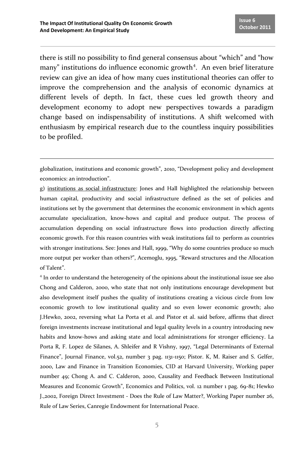<u>.</u>

there is still no possibility to find general consensus about "which" and "how many" institutions do influence economic growth<sup>4</sup>. An even brief literature review can give an idea of how many cues institutional theories can offer to improve the comprehension and the analysis of economic dynamics at different levels of depth. In fact, these cues led growth theory and development economy to adopt new perspectives towards a paradigm change based on indispensability of institutions. A shift welcomed with enthusiasm by empirical research due to the countless inquiry possibilities to be profiled.

globalization, institutions and economic growth", 2010, "Development policy and development economics: an introduction".

g) institutions as social infrastructure: Jones and Hall highlighted the relationship between human capital, productivity and social infrastructure defined as the set of policies and institutions set by the government that determines the economic environment in which agents accumulate specialization, know-hows and capital and produce output. The process of accumulation depending on social infrastructure flows into production directly affecting economic growth. For this reason countries with weak institutions fail to perform as countries with stronger institutions. See: Jones and Hall, 1999, "Why do some countries produce so much more output per worker than others?", Acemoglu, 1995, "Reward structures and the Allocation of Talent".

<sup>4</sup> In order to understand the heterogeneity of the opinions about the institutional issue see also Chong and Calderon, 2000, who state that not only institutions encourage development but also development itself pushes the quality of institutions creating a vicious circle from low economic growth to low institutional quality and so even lower economic growth; also J.Hewko, 2002, reversing what La Porta et al. and Pistor et al. said before, affirms that direct foreign investments increase institutional and legal quality levels in a country introducing new habits and know-hows and asking state and local administrations for stronger efficiency. La Porta R, F. Lopez de Silanes, A. Shleifer and R Vishny, 1997, "Legal Determinants of External Finance", Journal Finance, vol.52, number 3 pag. 1131-1150; Pistor. K, M. Raiser and S. Gelfer, 2000, Law and Finance in Transition Economies, CID at Harvard University, Working paper number 49; Chong A. and C. Calderon, 2000, Causality and Feedback Between Institutional Measures and Economic Growth", Economics and Politics, vol. 12 number 1 pag. 69-81; Hewko J.,2002, Foreign Direct Investment - Does the Rule of Law Matter?, Working Paper number 26, Rule of Law Series, Canregie Endowment for International Peace.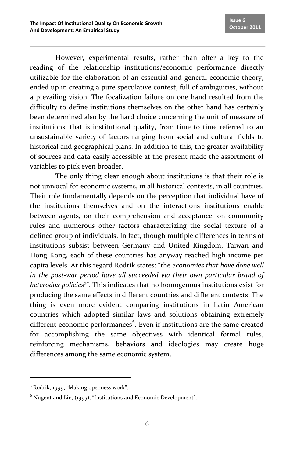However, experimental results, rather than offer a key to the reading of the relationship institutions/economic performance directly utilizable for the elaboration of an essential and general economic theory, ended up in creating a pure speculative contest, full of ambiguities, without a prevailing vision. The focalization failure on one hand resulted from the difficulty to define institutions themselves on the other hand has certainly been determined also by the hard choice concerning the unit of measure of institutions, that is institutional quality, from time to time referred to an unsustainable variety of factors ranging from social and cultural fields to historical and geographical plans. In addition to this, the greater availability of sources and data easily accessible at the present made the assortment of variables to pick even broader.

The only thing clear enough about institutions is that their role is not univocal for economic systems, in all historical contexts, in all countries. Their role fundamentally depends on the perception that individual have of the institutions themselves and on the interactions institutions enable between agents, on their comprehension and acceptance, on community rules and numerous other factors characterizing the social texture of a defined group of individuals. In fact, though multiple differences in terms of institutions subsist between Germany and United Kingdom, Taiwan and Hong Kong, each of these countries has anyway reached high income per capita levels. At this regard Rodrik states: "the *economies that have done well in the post-war period have all succeeded via their own particular brand of heterodox policies<sup>5</sup>* ". This indicates that no homogenous institutions exist for producing the same effects in different countries and different contexts. The thing is even more evident comparing institutions in Latin American countries which adopted similar laws and solutions obtaining extremely different economic performances<sup>6</sup>. Even if institutions are the same created for accomplishing the same objectives with identical formal rules, reinforcing mechanisms, behaviors and ideologies may create huge differences among the same economic system.

l

<sup>5</sup> Rodrik, 1999, "Making openness work".

 $6$  Nugent and Lin, (1995), "Institutions and Economic Development".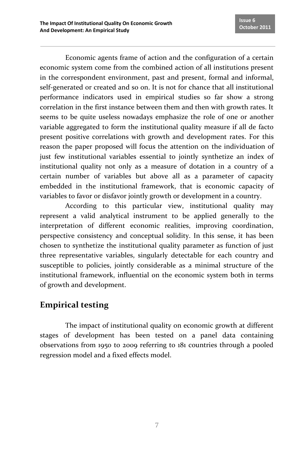Economic agents frame of action and the configuration of a certain economic system come from the combined action of all institutions present in the correspondent environment, past and present, formal and informal, self-generated or created and so on. It is not for chance that all institutional performance indicators used in empirical studies so far show a strong correlation in the first instance between them and then with growth rates. It seems to be quite useless nowadays emphasize the role of one or another variable aggregated to form the institutional quality measure if all de facto present positive correlations with growth and development rates. For this reason the paper proposed will focus the attention on the individuation of just few institutional variables essential to jointly synthetize an index of institutional quality not only as a measure of dotation in a country of a certain number of variables but above all as a parameter of capacity embedded in the institutional framework, that is economic capacity of variables to favor or disfavor jointly growth or development in a country.

According to this particular view, institutional quality may represent a valid analytical instrument to be applied generally to the interpretation of different economic realities, improving coordination, perspective consistency and conceptual solidity. In this sense, it has been chosen to synthetize the institutional quality parameter as function of just three representative variables, singularly detectable for each country and susceptible to policies, jointly considerable as a minimal structure of the institutional framework, influential on the economic system both in terms of growth and development.

## **Empirical testing**

The impact of institutional quality on economic growth at different stages of development has been tested on a panel data containing observations from 1950 to 2009 referring to 181 countries through a pooled regression model and a fixed effects model.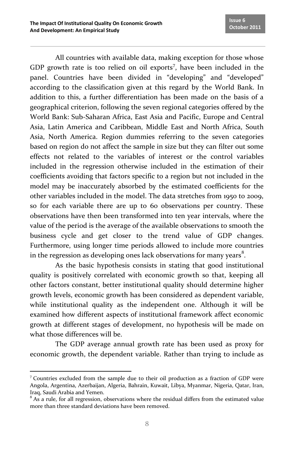All countries with available data, making exception for those whose GDP growth rate is too relied on oil exports<sup>7</sup>, have been included in the panel. Countries have been divided in "developing" and "developed" according to the classification given at this regard by the World Bank. In addition to this, a further differentiation has been made on the basis of a geographical criterion, following the seven regional categories offered by the World Bank: Sub-Saharan Africa, East Asia and Pacific, Europe and Central Asia, Latin America and Caribbean, Middle East and North Africa, South Asia, North America. Region dummies referring to the seven categories based on region do not affect the sample in size but they can filter out some effects not related to the variables of interest or the control variables included in the regression otherwise included in the estimation of their coefficients avoiding that factors specific to a region but not included in the model may be inaccurately absorbed by the estimated coefficients for the other variables included in the model. The data stretches from 1950 to 2009, so for each variable there are up to 60 observations per country. These observations have then been transformed into ten year intervals, where the value of the period is the average of the available observations to smooth the business cycle and get closer to the trend value of GDP changes. Furthermore, using longer time periods allowed to include more countries in the regression as developing ones lack observations for many years $^8$ .

As the basic hypothesis consists in stating that good institutional quality is positively correlated with economic growth so that, keeping all other factors constant, better institutional quality should determine higher growth levels, economic growth has been considered as dependent variable, while institutional quality as the independent one. Although it will be examined how different aspects of institutional framework affect economic growth at different stages of development, no hypothesis will be made on what those differences will be.

The GDP average annual growth rate has been used as proxy for economic growth, the dependent variable. Rather than trying to include as

 $\overline{\phantom{a}}$ <sup>7</sup> Countries excluded from the sample due to their oil production as a fraction of GDP were Angola, Argentina, Azerbaijan, Algeria, Bahrain, Kuwait, Libya, Myanmar, Nigeria, Qatar, Iran, Iraq, Saudi Arabia and Yemen.

 $8$  As a rule, for all regression, observations where the residual differs from the estimated value more than three standard deviations have been removed.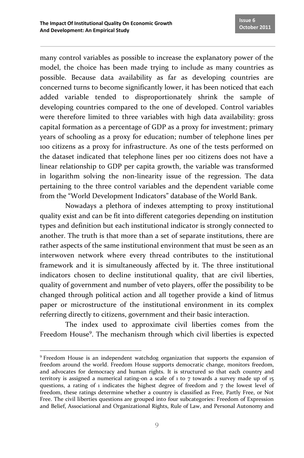many control variables as possible to increase the explanatory power of the model, the choice has been made trying to include as many countries as possible. Because data availability as far as developing countries are concerned turns to become significantly lower, it has been noticed that each added variable tended to disproportionately shrink the sample of developing countries compared to the one of developed. Control variables were therefore limited to three variables with high data availability: gross capital formation as a percentage of GDP as a proxy for investment; primary years of schooling as a proxy for education; number of telephone lines per 100 citizens as a proxy for infrastructure. As one of the tests performed on the dataset indicated that telephone lines per 100 citizens does not have a linear relationship to GDP per capita growth, the variable was transformed in logarithm solving the non-linearity issue of the regression. The data pertaining to the three control variables and the dependent variable come from the "World Development Indicators" database of the World Bank.

Nowadays a plethora of indexes attempting to proxy institutional quality exist and can be fit into different categories depending on institution types and definition but each institutional indicator is strongly connected to another. The truth is that more than a set of separate institutions, there are rather aspects of the same institutional environment that must be seen as an interwoven network where every thread contributes to the institutional framework and it is simultaneously affected by it. The three institutional indicators chosen to decline institutional quality, that are civil liberties, quality of government and number of veto players, offer the possibility to be changed through political action and all together provide a kind of litmus paper or microstructure of the institutional environment in its complex referring directly to citizens, government and their basic interaction.

The index used to approximate civil liberties comes from the Freedom House<sup>9</sup>. The mechanism through which civil liberties is expected

<sup>&</sup>lt;u>.</u> <sup>9</sup> Freedom House is an independent watchdog organization that supports the expansion of freedom around the world. Freedom House supports democratic change, monitors freedom, and advocates for democracy and human rights. It is structured so that each country and territory is assigned a numerical rating-on a scale of 1 to 7 towards a survey made up of 15 questions, a rating of 1 indicates the highest degree of freedom and  $7$  the lowest level of freedom, these ratings determine whether a country is classified as Free, Partly Free, or Not Free. The civil liberties questions are grouped into four subcategories: Freedom of Expression and Belief, Associational and Organizational Rights, Rule of Law, and Personal Autonomy and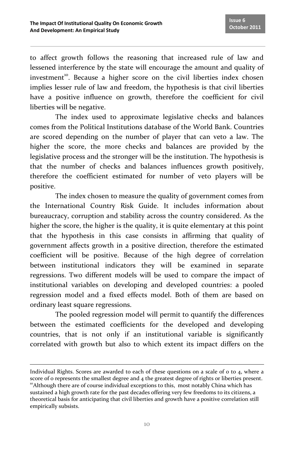to affect growth follows the reasoning that increased rule of law and lessened interference by the state will encourage the amount and quality of investment<sup>10</sup>. Because a higher score on the civil liberties index chosen implies lesser rule of law and freedom, the hypothesis is that civil liberties have a positive influence on growth, therefore the coefficient for civil liberties will be negative.

The index used to approximate legislative checks and balances comes from the Political Institutions database of the World Bank. Countries are scored depending on the number of player that can veto a law. The higher the score, the more checks and balances are provided by the legislative process and the stronger will be the institution. The hypothesis is that the number of checks and balances influences growth positively, therefore the coefficient estimated for number of veto players will be positive.

The index chosen to measure the quality of government comes from the International Country Risk Guide. It includes information about bureaucracy, corruption and stability across the country considered. As the higher the score, the higher is the quality, it is quite elementary at this point that the hypothesis in this case consists in affirming that quality of government affects growth in a positive direction, therefore the estimated coefficient will be positive. Because of the high degree of correlation between institutional indicators they will be examined in separate regressions. Two different models will be used to compare the impact of institutional variables on developing and developed countries: a pooled regression model and a fixed effects model. Both of them are based on ordinary least square regressions.

The pooled regression model will permit to quantify the differences between the estimated coefficients for the developed and developing countries, that is not only if an institutional variable is significantly correlated with growth but also to which extent its impact differs on the

 $\overline{a}$ 

Individual Rights. Scores are awarded to each of these questions on a scale of  $\sigma$  to  $\alpha$ , where a score of 0 represents the smallest degree and  $4$  the greatest degree of rights or liberties present.  $10^{\circ}$ Although there are of course individual exceptions to this, most notably China which has sustained a high growth rate for the past decades offering very few freedoms to its citizens, a theoretical basis for anticipating that civil liberties and growth have a positive correlation still empirically subsists.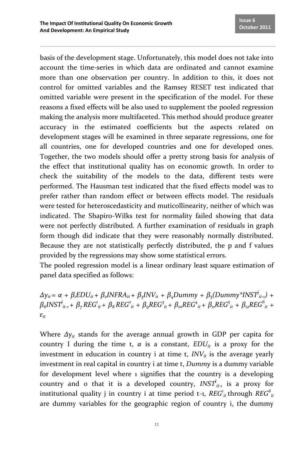basis of the development stage. Unfortunately, this model does not take into account the time-series in which data are ordinated and cannot examine more than one observation per country. In addition to this, it does not control for omitted variables and the Ramsey RESET test indicated that omitted variable were present in the specification of the model. For these reasons a fixed effects will be also used to supplement the pooled regression making the analysis more multifaceted. This method should produce greater accuracy in the estimated coefficients but the aspects related on development stages will be examined in three separate regressions, one for all countries, one for developed countries and one for developed ones. Together, the two models should offer a pretty strong basis for analysis of the effect that institutional quality has on economic growth. In order to check the suitability of the models to the data, different tests were performed. The Hausman test indicated that the fixed effects model was to prefer rather than random effect or between effects model. The residuals were tested for heteroscedasticity and muticollinearity, neither of which was indicated. The Shapiro-Wilks test for normality failed showing that data were not perfectly distributed. A further examination of residuals in graph form though did indicate that they were reasonably normally distributed. Because they are not statistically perfectly distributed, the p and f values provided by the regressions may show some statistical errors.

The pooled regression model is a linear ordinary least square estimation of panel data specified as follows:

 $\Delta y_{it} = \alpha + \beta_t EDU_{it} + \beta_t INFRA_{it} + \beta_t INV_{it} + \beta_t Dummy + \beta_t (Dummy *INST_{it-1}) +$  $\beta_6 INST^i_{it-1} + \beta_7 REG^i_{it} + \beta_8 REG^2_{it} + \beta_9 REG^3_{it} + \beta_{io} REG^4_{it} + \beta_{ii} REG^5_{it} + \beta_{iz} REG^6_{it} +$ *εit*

Where *Δyit* stands for the average annual growth in GDP per capita for country I during the time t,  $\alpha$  is a constant,  $EDU_i$  is a proxy for the investment in education in country i at time t,  $INV_{it}$  is the average yearly investment in real capital in country i at time t, *Dummy* is a dummy variable for development level where 1 signifies that the country is a developing country and o that it is a developed country,  $INST_{it-1}$  is a proxy for institutional quality j in country i at time period t-1,  $REG^i_{it}$  through  $REG^i_{it}$ are dummy variables for the geographic region of country i, the dummy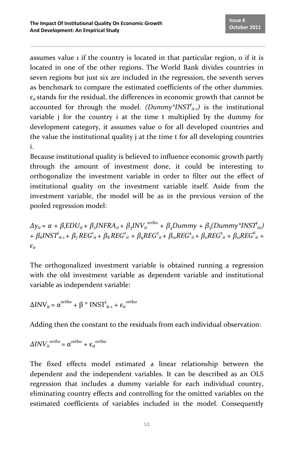assumes value 1 if the country is located in that particular region, 0 if it is located in one of the other regions. The World Bank divides countries in seven regions but just six are included in the regression, the seventh serves as benchmark to compare the estimated coefficients of the other dummies.  $\varepsilon$ *i* stands for the residual, the differences in economic growth that cannot be accounted for through the model. *(Dummy\*INST<sup><i>i*</sup><sub>it-1</sub>) is the institutional variable j for the country i at the time t multiplied by the dummy for development category, it assumes value o for all developed countries and the value the institutional quality j at the time t for all developing countries i.

Because institutional quality is believed to influence economic growth partly through the amount of investment done, it could be interesting to orthogonalize the investment variable in order to filter out the effect of institutional quality on the investment variable itself. Aside from the investment variable, the model will be as in the previous version of the pooled regression model:

 $\Delta y_{it}$  =  $\alpha$  +  $\beta_i EDU_{it}$  +  $\beta_2 INFRA_{it}$  +  $\beta_3 INV_{it}^{ortho}$  +  $\beta_4 Dummy$  +  $\beta_5(Dummy^*INST_{it}^i)$ +  $\beta_6INST_{it-1}^i$  +  $\beta_7REG_{it}^i$  +  $\beta_8REG_{it}^2$  +  $\beta_9REG_{it}^3$  +  $\beta_{io}REG_{it}^4$  +  $\beta_{ii}REG_{it}^5$  +  $\beta_{12}REG_{it}^6$  + *εit*

The orthogonalized investment variable is obtained running a regression with the old investment variable as dependent variable and institutional variable as independent variable:

 $\Delta \text{INV}_{it} = \alpha^{\text{ortho}} + \beta * \text{INST}_{it-1}^j + \varepsilon_{it}^{\text{ortho}}$ 

Adding then the constant to the residuals from each individual observation:

$$
\Delta INV_{it}^{ortho} = \alpha^{ortho} + \varepsilon_{it}^{ortho}
$$

The fixed effects model estimated a linear relationship between the dependent and the independent variables. It can be described as an OLS regression that includes a dummy variable for each individual country, eliminating country effects and controlling for the omitted variables on the estimated coefficients of variables included in the model. Consequently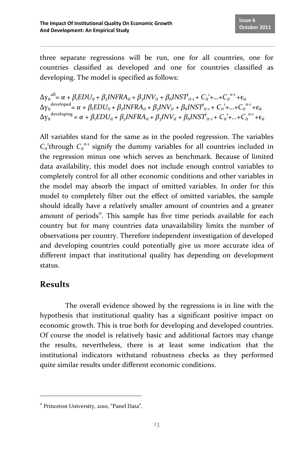three separate regressions will be run, one for all countries, one for countries classified as developed and one for countries classified as developing. The model is specified as follows:

 $\Delta y_{it}^{all} = \alpha + \beta_i EDU_{it} + \beta_2 INFRA_{it} + \beta_3 INV_{it} + \beta_6 INST_{it-1}^i + C_{it}^{i} + ... + C_{it}^{n-i} + \varepsilon_{it}$  $\Delta y_{it}^{i}$ <sup>developed</sup> =  $\alpha + \beta_i EDU_{it} + \beta_2 INFRA_{it} + \beta_3 INV_{it} + \beta_6INST_{it-1}^i + C_{it}^i + ... + C_{it}^{n-i} + \epsilon_{it}$  $\Delta y_{it}^{{\text{developing}}} = \alpha + \beta_i EDU_{it} + \beta_2 INFRA_{it} + \beta_3 INV_{it} + \beta_6 INST_{it-1}^i + C_{it}^{i} + ... + C_{it}^{n-i} + \epsilon_{it}$ 

All variables stand for the same as in the pooled regression. The variables  $C_i$ <sup>*t*</sup>through  $C_i$ <sup>*n-1*</sup> signify the dummy variables for all countries included in the regression minus one which serves as benchmark. Because of limited data availability, this model does not include enough control variables to completely control for all other economic conditions and other variables in the model may absorb the impact of omitted variables. In order for this model to completely filter out the effect of omitted variables, the sample should ideally have a relatively smaller amount of countries and a greater amount of periods<sup>11</sup>. This sample has five time periods available for each country but for many countries data unavailability limits the number of observations per country. Therefore independent investigation of developed and developing countries could potentially give us more accurate idea of different impact that institutional quality has depending on development status.

## **Results**

<u>.</u>

The overall evidence showed by the regressions is in line with the hypothesis that institutional quality has a significant positive impact on economic growth. This is true both for developing and developed countries. Of course the model is relatively basic and additional factors may change the results, nevertheless, there is at least some indication that the institutional indicators withstand robustness checks as they performed quite similar results under different economic conditions.

<sup>&</sup>lt;sup>11</sup> Princeton University, 2010, "Panel Data".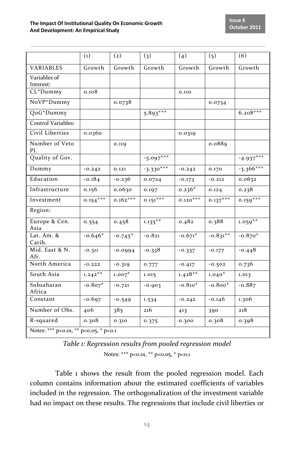|                                       | $\left( 1\right)$ | $\left( 2\right)$ | (3)         | (4)        | (5)        | (6)         |  |  |
|---------------------------------------|-------------------|-------------------|-------------|------------|------------|-------------|--|--|
| <b>VARIABLES</b>                      | Growth            | Growth            | Growth      | Growth     | Growth     | Growth      |  |  |
| Variables of<br>Interest:             |                   |                   |             |            |            |             |  |  |
| CL*Dummy                              | 0.108             |                   |             | 0.110      |            |             |  |  |
| NoVP*Dummy                            |                   | 0.0738            |             |            | 0.0734     |             |  |  |
| QoG*Dummy                             |                   |                   | $5.893***$  |            |            | $6.208***$  |  |  |
| Control Variables:                    |                   |                   |             |            |            |             |  |  |
| Civil Liberties                       | 0.0360            |                   |             | 0.0319     |            |             |  |  |
| Number of Veto<br>Pl.                 |                   | 0.119             |             |            | 0.0889     |             |  |  |
| Quality of Gov.                       |                   |                   | $-5.097***$ |            |            | $-4.937***$ |  |  |
| Dummy                                 | $-0.242$          | 0.121             | $-3.330***$ | $-0.242$   | 0.170      | $-3.366***$ |  |  |
| Education                             | $-0.184$          | $-0.236$          | 0.0724      | $-0.173$   | $-0.212$   | 0.0632      |  |  |
| Infrastructure                        | 0.156             | 0.0630            | 0.197       | $0.236*$   | 0.124      | 0.238       |  |  |
| Investment                            | $0.154***$        | $0.162***$        | $0.151***$  | $0.120***$ | $0.137***$ | $0.159***$  |  |  |
| Region:                               |                   |                   |             |            |            |             |  |  |
| Europe & Cen.<br>Asia                 | 0.554             | 0.458             | $1.135***$  | 0.482      | 0.388      | $1.059***$  |  |  |
| Lat. $Am.$ $Ri$<br>Carib.             | $-0.646*$         | $-0.745*$         | $-0.821$    | $-0.671*$  | $-0.831**$ | $-0.870*$   |  |  |
| Mid. East & N.<br>Afr.                | $-0.311$          | $-0.0994$         | $-0.338$    | $-0.337$   | $-0.177$   | $-0.448$    |  |  |
| North America                         | $-0.222$          | $-0.319$          | 0.777       | $-0.417$   | $-0.502$   | 0.736       |  |  |
| South Asia                            | $1.242**$         | $1.007*$          | 1.015       | $1.428**$  | $1.040*$   | 1.013       |  |  |
| Subsaharan<br>Africa                  | $-0.807*$         | $-0.721$          | $-0.903$    | $-0.810*$  | $-0.800*$  | $-0.887$    |  |  |
| Constant                              | $-0.697$          | $-0.549$          | 1.534       | $-0.242$   | $-0.146$   | 1.306       |  |  |
| Number of Obs.                        | 406               | 385               | 216         | 413        | 390        | 218         |  |  |
| R-squared                             | 0.308             | 0.310             | 0.375       | 0.300      | 0.308      | 0.398       |  |  |
| Notes: *** p<0.01, ** p<0.05, * p<0.1 |                   |                   |             |            |            |             |  |  |

| Table 1: Regression results from pooled regression model |  |
|----------------------------------------------------------|--|
| Notes: *** $p<0.01$ , ** $p<0.05$ , * $p<0.1$            |  |

Table 1 shows the result from the pooled regression model. Each column contains information about the estimated coefficients of variables included in the regression. The orthogonalization of the investment variable had no impact on these results. The regressions that include civil liberties or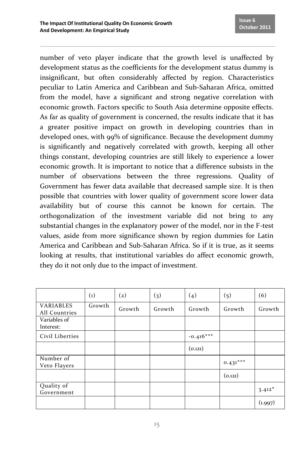number of veto player indicate that the growth level is unaffected by development status as the coefficients for the development status dummy is insignificant, but often considerably affected by region. Characteristics peculiar to Latin America and Caribbean and Sub-Saharan Africa, omitted from the model, have a significant and strong negative correlation with economic growth. Factors specific to South Asia determine opposite effects. As far as quality of government is concerned, the results indicate that it has a greater positive impact on growth in developing countries than in developed ones, with 99% of significance. Because the development dummy is significantly and negatively correlated with growth, keeping all other things constant, developing countries are still likely to experience a lower economic growth. It is important to notice that a difference subsists in the number of observations between the three regressions. Quality of Government has fewer data available that decreased sample size. It is then possible that countries with lower quality of government score lower data availability but of course this cannot be known for certain. The orthogonalization of the investment variable did not bring to any substantial changes in the explanatory power of the model, nor in the F-test values, aside from more significance shown by region dummies for Latin America and Caribbean and Sub-Saharan Africa. So if it is true, as it seems looking at results, that institutional variables do affect economic growth, they do it not only due to the impact of investment.

|                                   | $\left( 1\right)$ | $\left( 2\right)$ | (3)    | (4)         | (5)        | (6)      |
|-----------------------------------|-------------------|-------------------|--------|-------------|------------|----------|
| <b>VARIABLES</b><br>All Countries | Growth            | Growth            | Growth | Growth      | Growth     | Growth   |
| Variables of<br>Interest:         |                   |                   |        |             |            |          |
| Civil Liberties                   |                   |                   |        | $-0.416***$ |            |          |
|                                   |                   |                   |        | (0.121)     |            |          |
| Number of<br>Veto Flayers         |                   |                   |        |             | $0.431***$ |          |
|                                   |                   |                   |        |             | (0.121)    |          |
| Quality of<br>Government          |                   |                   |        |             |            | $3.412*$ |
|                                   |                   |                   |        |             |            | (1.997)  |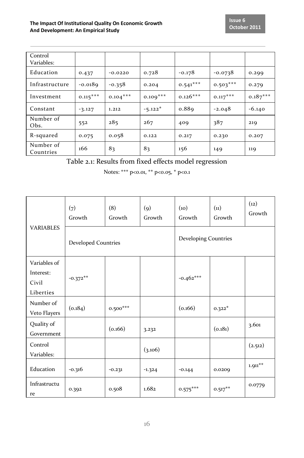| Control<br>Variables:  |            |            |            |            |            |            |
|------------------------|------------|------------|------------|------------|------------|------------|
| Education              | 0.437      | $-0.0220$  | 0.728      | $-0.178$   | $-0.0738$  | 0.299      |
| Infrastructure         | $-0.0189$  | $-0.358$   | 0.204      | $0.541***$ | $0.503***$ | 0.279      |
| Investment             | $0.115***$ | $0.104***$ | $0.109***$ | $0.126***$ | $0.117***$ | $0.187***$ |
| Constant               | $-3.127$   | 1.212      | $-5.122*$  | 0.889      | $-2.048$   | $-6.140$   |
| Number of<br>Obs.      | 552        | 285        | 267        | 409        | 387        | 219        |
| R-squared              | 0.075      | 0.058      | 0.122      | 0.217      | 0.230      | 0.207      |
| Number of<br>Countries | 166        | 83         | 83         | 156        | 149        | 119        |

Table 2.1: Results from fixed effects model regression

Notes: \*\*\* p<0.01, \*\* p<0.05, \* p<0.1

|                           | (7)<br>Growth              | (8)<br>Growth | $\left( 9\right)$<br>Growth | (10)<br>Growth       | (11)<br>Growth | (12)<br>Growth       |
|---------------------------|----------------------------|---------------|-----------------------------|----------------------|----------------|----------------------|
| <b>VARIABLES</b>          | <b>Developed Countries</b> |               |                             | Developing Countries |                |                      |
| Variables of              |                            |               |                             |                      |                |                      |
| Interest:                 | $-0.372**$                 |               |                             | $-0.462***$          |                |                      |
| Civil                     |                            |               |                             |                      |                |                      |
| Liberties                 |                            |               |                             |                      |                |                      |
| Number of<br>Veto Flayers | (0.184)                    | $0.500***$    |                             | (0.166)              | $0.322*$       |                      |
| Quality of<br>Government  |                            | (0.166)       | 3.232                       |                      | (0.181)        | 3.601                |
| Control<br>Variables:     |                            |               | (3.106)                     |                      |                | (2.512)              |
| Education                 | $-0.316$                   | $-0.231$      | $-1.324$                    | $-0.144$             | 0.0209         | $1.911^{\star\star}$ |
| Infrastructu<br>re        | 0.392                      | 0.508         | 1.682                       | $0.575***$           | $0.517***$     | 0.0779               |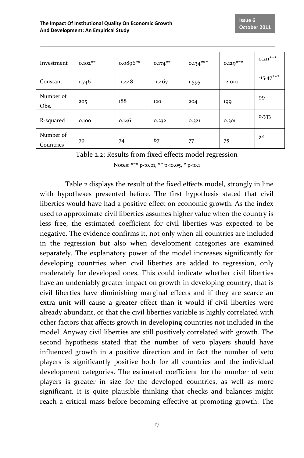| Investment             | $0.102**$ | $0.0896**$ | $0.174***$ | $0.134***$ | $0.129***$ | $0.211***$  |
|------------------------|-----------|------------|------------|------------|------------|-------------|
| Constant               | 1.746     | $-1.448$   | $-1.467$   | 1.595      | $-2.010$   | $-15.47***$ |
| Number of<br>Obs.      | 205       | 188        | 120        | 204        | 199        | 99          |
| R-squared              | 0.100     | 0.146      | 0.232      | 0.321      | 0.301      | 0.333       |
| Number of<br>Countries | 79        | 74         | 67         | 77         | 75         | 52          |

Table 2.2: Results from fixed effects model regression

Notes: \*\*\* p<0.01, \*\* p<0.05, \* p<0.1

Table 2 displays the result of the fixed effects model, strongly in line with hypotheses presented before. The first hypothesis stated that civil liberties would have had a positive effect on economic growth. As the index used to approximate civil liberties assumes higher value when the country is less free, the estimated coefficient for civil liberties was expected to be negative. The evidence confirms it, not only when all countries are included in the regression but also when development categories are examined separately. The explanatory power of the model increases significantly for developing countries when civil liberties are added to regression, only moderately for developed ones. This could indicate whether civil liberties have an undeniably greater impact on growth in developing country, that is civil liberties have diminishing marginal effects and if they are scarce an extra unit will cause a greater effect than it would if civil liberties were already abundant, or that the civil liberties variable is highly correlated with other factors that affects growth in developing countries not included in the model. Anyway civil liberties are still positively correlated with growth. The second hypothesis stated that the number of veto players should have influenced growth in a positive direction and in fact the number of veto players is significantly positive both for all countries and the individual development categories. The estimated coefficient for the number of veto players is greater in size for the developed countries, as well as more significant. It is quite plausible thinking that checks and balances might reach a critical mass before becoming effective at promoting growth. The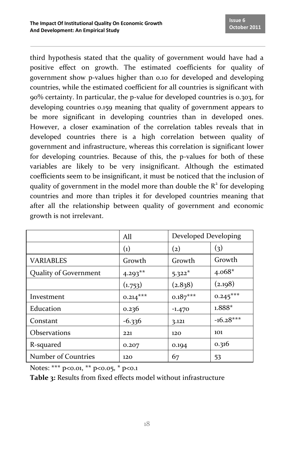third hypothesis stated that the quality of government would have had a positive effect on growth. The estimated coefficients for quality of government show p-values higher than 0.10 for developed and developing countries, while the estimated coefficient for all countries is significant with 90% certainty. In particular, the p-value for developed countries is 0.303, for developing countries 0.159 meaning that quality of government appears to be more significant in developing countries than in developed ones. However, a closer examination of the correlation tables reveals that in developed countries there is a high correlation between quality of government and infrastructure, whereas this correlation is significant lower for developing countries. Because of this, the p-values for both of these variables are likely to be very insignificant. Although the estimated coefficients seem to be insignificant, it must be noticed that the inclusion of quality of government in the model more than double the  $R<sup>2</sup>$  for developing countries and more than triples it for developed countries meaning that after all the relationship between quality of government and economic growth is not irrelevant.

|                       | All                | Developed Developing |             |
|-----------------------|--------------------|----------------------|-------------|
|                       | $\left( 1 \right)$ | $\left( 2\right)$    | (3)         |
| <b>VARIABLES</b>      | Growth             | Growth               | Growth      |
| Quality of Government | $4.293***$         | $5.322*$             | $4.068*$    |
|                       | (1.753)            | (2.838)              | (2.198)     |
| Investment            | $0.214***$         | $0.187***$           | $0.245***$  |
| Education             | 0.236              | $-1.470$             | $1.888*$    |
| Constant              | $-6.336$           | 3.121                | $-16.28***$ |
| <b>Observations</b>   | 221                | 120                  | 101         |
| R-squared             | 0.207              | 0.194                | 0.316       |
| Number of Countries   | 120                | 67                   | 53          |

Notes: \*\*\* p<0.01, \*\* p<0.05, \* p<0.1

**Table 3:** Results from fixed effects model without infrastructure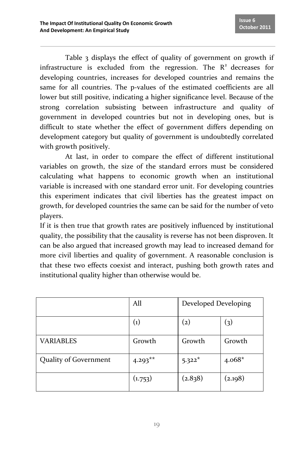Table 3 displays the effect of quality of government on growth if infrastructure is excluded from the regression. The  $R<sup>2</sup>$  decreases for developing countries, increases for developed countries and remains the same for all countries. The p-values of the estimated coefficients are all lower but still positive, indicating a higher significance level. Because of the strong correlation subsisting between infrastructure and quality of government in developed countries but not in developing ones, but is difficult to state whether the effect of government differs depending on development category but quality of government is undoubtedly correlated with growth positively.

At last, in order to compare the effect of different institutional variables on growth, the size of the standard errors must be considered calculating what happens to economic growth when an institutional variable is increased with one standard error unit. For developing countries this experiment indicates that civil liberties has the greatest impact on growth, for developed countries the same can be said for the number of veto players.

If it is then true that growth rates are positively influenced by institutional quality, the possibility that the causality is reverse has not been disproven. It can be also argued that increased growth may lead to increased demand for more civil liberties and quality of government. A reasonable conclusion is that these two effects coexist and interact, pushing both growth rates and institutional quality higher than otherwise would be.

|                       | All                | Developed Developing |          |
|-----------------------|--------------------|----------------------|----------|
|                       | $\left( 1 \right)$ | $\left( 2\right)$    | (3)      |
| <b>VARIABLES</b>      | Growth             | Growth               | Growth   |
| Quality of Government | $4.293**$          | $5.322*$             | $4.068*$ |
|                       | (1.753)            | (2.838)              | (2.198)  |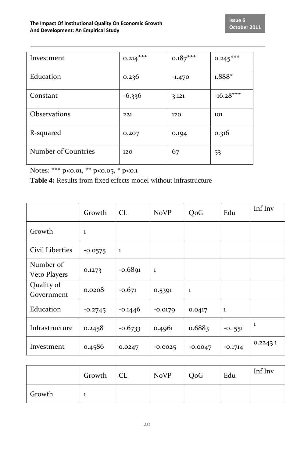| Investment          | $0.214***$ | $0.187***$ | $0.245***$  |
|---------------------|------------|------------|-------------|
| Education           | 0.236      | $-1.470$   | $1.888*$    |
| Constant            | $-6.336$   | 3.121      | $-16.28***$ |
| <b>Observations</b> | 221        | 120        | 101         |
| R-squared           | 0.207      | 0.194      | 0.316       |
| Number of Countries | 120        | 67         | 53          |

Notes: \*\*\* p<0.01, \*\* p<0.05, \* p<0.1

**Table 4:** Results from fixed effects model without infrastructure

|                           | Growth    | CL.       | <b>NoVP</b> | QoG       | Edu       | Inf Inv |
|---------------------------|-----------|-----------|-------------|-----------|-----------|---------|
| Growth                    | ı         |           |             |           |           |         |
| <b>Civil Liberties</b>    | $-0.0575$ | 1         |             |           |           |         |
| Number of<br>Veto Players | 0.1273    | $-0.6891$ | -1          |           |           |         |
| Quality of<br>Government  | 0.0208    | $-0.671$  | 0.5391      | 1         |           |         |
| Education                 | $-0.2745$ | $-0.1446$ | $-0.0179$   | 0.0417    | 1         |         |
| Infrastructure            | 0.2458    | $-0.6733$ | 0.4961      | 0.6883    | $-0.1551$ | -1      |
| Investment                | 0.4586    | 0.0247    | $-0.0025$   | $-0.0047$ | $-0.1714$ | 0.22431 |

|        | Growth   CL | <b>NoVP</b> | QoG | Edu | Inf Inv |
|--------|-------------|-------------|-----|-----|---------|
| Growth |             |             |     |     |         |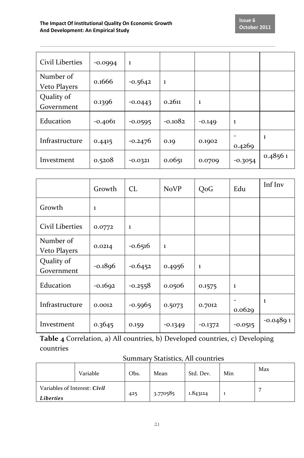| Civil Liberties           | $-0.0994$ | 1         |           |          |           |         |
|---------------------------|-----------|-----------|-----------|----------|-----------|---------|
| Number of<br>Veto Players | 0.1666    | $-0.5642$ | 1         |          |           |         |
| Quality of<br>Government  | 0.1396    | $-0.0443$ | 0.2611    | 1        |           |         |
| Education                 | $-0.4061$ | $-0.0595$ | $-0.1082$ | $-0.149$ | 1         |         |
| Infrastructure            | 0.4415    | $-0.2476$ | 0.19      | 0.1902   | 0.4269    | -1      |
| Investment                | 0.5208    | $-0.0321$ | 0.0651    | 0.0709   | $-0.3054$ | 0.48561 |

|                           | Growth    | CL        | <b>NoVP</b> | QoG       | Edu       | Inf Inv    |
|---------------------------|-----------|-----------|-------------|-----------|-----------|------------|
| Growth                    | 1         |           |             |           |           |            |
| Civil Liberties           | 0.0772    | 1         |             |           |           |            |
| Number of<br>Veto Players | 0.0214    | $-0.6516$ | 1           |           |           |            |
| Quality of<br>Government  | $-0.1896$ | $-0.6452$ | 0.4956      | 1         |           |            |
| Education                 | $-0.1692$ | $-0.2558$ | 0.0506      | 0.1575    | 1         |            |
| Infrastructure            | 0.0012    | $-0.5965$ | 0.5073      | 0.7012    | 0.0629    | 1          |
| Investment                | 0.3645    | 0.159     | $-0.1349$   | $-0.1372$ | $-0.0515$ | $-0.04891$ |

**Table 4** Correlation, a) All countries, b) Developed countries, c) Developing countries

#### Summary Statistics, All countries

|                                           | Variable | Obs. | Mean     | Std. Dev. | Min | Max |
|-------------------------------------------|----------|------|----------|-----------|-----|-----|
| Variables of Interest: Civil<br>Liberties |          | 425  | 3.770585 | 1.843124  |     |     |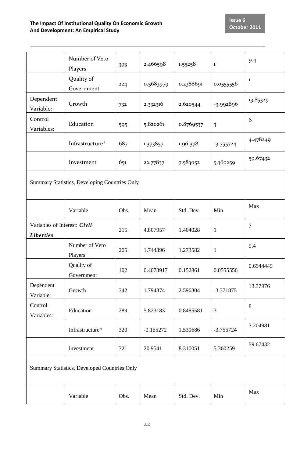| 9.4                                           |  |  |  |  |  |  |  |
|-----------------------------------------------|--|--|--|--|--|--|--|
|                                               |  |  |  |  |  |  |  |
| $\mathbf 1$                                   |  |  |  |  |  |  |  |
| 13.85329                                      |  |  |  |  |  |  |  |
| 8                                             |  |  |  |  |  |  |  |
| 4.478249                                      |  |  |  |  |  |  |  |
| 59.67432                                      |  |  |  |  |  |  |  |
| Summary Statistics, Developing Countries Only |  |  |  |  |  |  |  |
| Max                                           |  |  |  |  |  |  |  |
| $\overline{7}$                                |  |  |  |  |  |  |  |
| 9.4                                           |  |  |  |  |  |  |  |
| 0.6944445                                     |  |  |  |  |  |  |  |
| 13.37976                                      |  |  |  |  |  |  |  |
| 8                                             |  |  |  |  |  |  |  |
| 3.204981                                      |  |  |  |  |  |  |  |
| 59.67432                                      |  |  |  |  |  |  |  |
| Summary Statistics, Developed Countries Only  |  |  |  |  |  |  |  |
| Max                                           |  |  |  |  |  |  |  |
|                                               |  |  |  |  |  |  |  |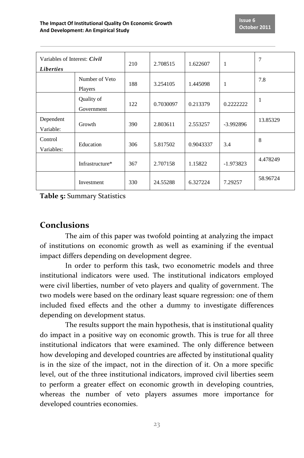| Variables of Interest: Civil<br><i>Liberties</i> |                           | 210 | 2.708515  | 1.622607  | 1           | 7        |
|--------------------------------------------------|---------------------------|-----|-----------|-----------|-------------|----------|
|                                                  | Number of Veto<br>Players | 188 | 3.254105  | 1.445098  | 1           | 7.8      |
|                                                  | Quality of<br>Government  | 122 | 0.7030097 | 0.213379  | 0.2222222   | 1        |
| Dependent<br>Variable:                           | Growth                    | 390 | 2.803611  | 2.553257  | $-3.992896$ | 13.85329 |
| Control<br>Variables:                            | Education                 | 306 | 5.817502  | 0.9043337 | 3.4         | 8        |
|                                                  | Infrastructure*           | 367 | 2.707158  | 1.15822   | $-1.973823$ | 4.478249 |
|                                                  | Investment                | 330 | 24.55288  | 6.327224  | 7.29257     | 58.96724 |

**Table 5:** Summary Statistics

#### **Conclusions**

The aim of this paper was twofold pointing at analyzing the impact of institutions on economic growth as well as examining if the eventual impact differs depending on development degree.

In order to perform this task, two econometric models and three institutional indicators were used. The institutional indicators employed were civil liberties, number of veto players and quality of government. The two models were based on the ordinary least square regression: one of them included fixed effects and the other a dummy to investigate differences depending on development status.

The results support the main hypothesis, that is institutional quality do impact in a positive way on economic growth. This is true for all three institutional indicators that were examined. The only difference between how developing and developed countries are affected by institutional quality is in the size of the impact, not in the direction of it. On a more specific level, out of the three institutional indicators, improved civil liberties seem to perform a greater effect on economic growth in developing countries, whereas the number of veto players assumes more importance for developed countries economies.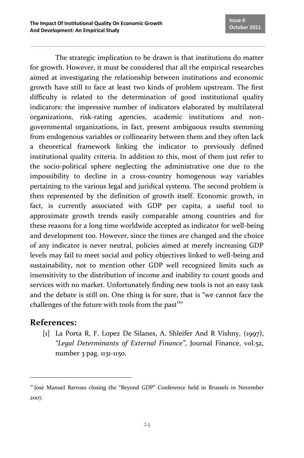The strategic implication to be drawn is that institutions do matter for growth. However, it must be considered that all the empirical researches aimed at investigating the relationship between institutions and economic growth have still to face at least two kinds of problem upstream. The first difficulty is related to the determination of good institutional quality indicators: the impressive number of indicators elaborated by multilateral organizations, risk-rating agencies, academic institutions and nongovernmental organizations, in fact, present ambiguous results stemming from endogenous variables or collinearity between them and they often lack a theoretical framework linking the indicator to previously defined institutional quality criteria. In addition to this, most of them just refer to the socio-political sphere neglecting the administrative one due to the impossibility to decline in a cross-country homogenous way variables pertaining to the various legal and juridical systems. The second problem is then represented by the definition of growth itself. Economic growth, in fact, is currently associated with GDP per capita, a useful tool to approximate growth trends easily comparable among countries and for these reasons for a long time worldwide accepted as indicator for well-being and development too. However, since the times are changed and the choice of any indicator is never neutral, policies aimed at merely increasing GDP levels may fail to meet social and policy objectives linked to well-being and sustainability, not to mention other GDP well recognized limits such as insensitivity to the distribution of income and inability to count goods and services with no market. Unfortunately finding new tools is not an easy task and the debate is still on. One thing is for sure, that is "we cannot face the challenges of the future with tools from the past<sup>12"</sup>

## **References:**

l

[1] La Porta R, F. Lopez De Silanes, A. Shleifer And R Vishny, (1997), *"Legal Determinants of External Finance"*, Journal Finance, vol.52, number 3 pag. 1131-1150.

<sup>&</sup>lt;sup>12</sup> Josè Manuel Barroso closing the "Beyond GDP" Conference held in Brussels in November 2007.